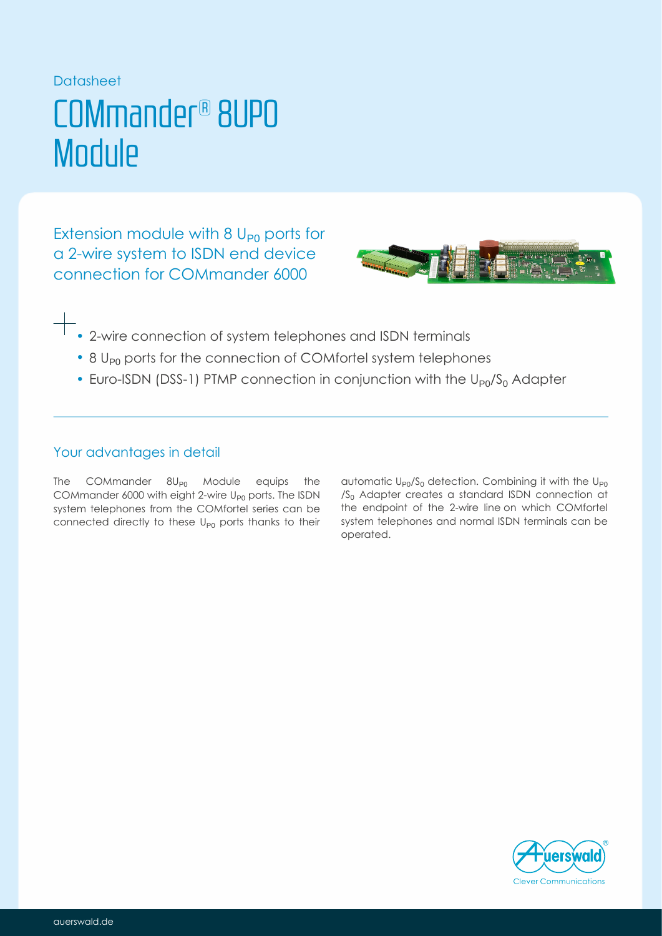### Datasheet

## COMmander® 8UP0 **Module**

Extension module with  $8 U_{p0}$  ports for a 2-wire system to ISDN end device connection for COMmander 6000



- 2-wire connection of system telephones and ISDN terminals
- 8 U<sub>P0</sub> ports for the connection of COMfortel system telephones
- Euro-ISDN (DSS-1) PTMP connection in conjunction with the  $U_{P0}/S_0$  Adapter

## Your advantages in detail

The COMmander  $8$ U $_{\text{P0}}$  Module equips the COMmander 6000 with eight 2-wire  $\mathsf{U}_{\mathsf{P}0}$  ports. The ISDN system telephones from the COMfortel series can be connected directly to these  $U_{p0}$  ports thanks to their

automatic  $\mathsf{U}_{\mathsf{P} 0} / \mathsf{S}_0$  detection. Combining it with the  $\mathsf{U}_{\mathsf{P} 0}$ / $S_0$  Adapter creates a standard ISDN connection at COMfortel series can be the endpoint of the 2-wire line on which COMfortel system telephones and normal ISDN terminals can be operated.